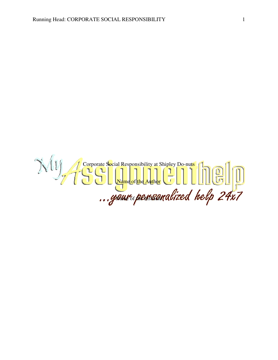Corporate Social Responsibility at Shipley Do-nuts Name of the Author Name of **METHSWILL**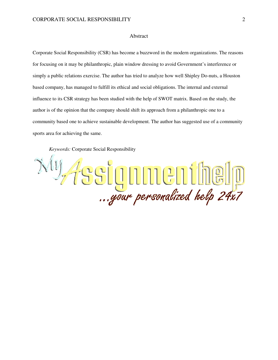#### Abstract

Corporate Social Responsibility (CSR) has become a buzzword in the modern organizations. The reasons for focusing on it may be philanthropic, plain window dressing to avoid Government's interference or simply a public relations exercise. The author has tried to analyze how well Shipley Do-nuts, a Houston based company, has managed to fulfill its ethical and social obligations. The internal and external influence to its CSR strategy has been studied with the help of SWOT matrix. Based on the study, the author is of the opinion that the company should shift its approach from a philanthropic one to a community based one to achieve sustainable development. The author has suggested use of a community sports area for achieving the same.

*Keywords:* Corporate Social Responsibility

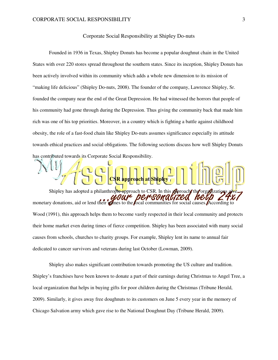## Corporate Social Responsibility at Shipley Do-nuts

Founded in 1936 in Texas, Shipley Donuts has become a popular doughnut chain in the United States with over 220 stores spread throughout the southern states. Since its inception, Shipley Donuts has been actively involved within its community which adds a whole new dimension to its mission of "making life delicious" (Shipley Do-nuts, 2008). The founder of the company, Lawrence Shipley, Sr. founded the company near the end of the Great Depression. He had witnessed the horrors that people of his community had gone through during the Depression. Thus giving the community back that made him rich was one of his top priorities. Moreover, in a country which is fighting a battle against childhood obesity, the role of a fast-food chain like Shipley Do-nuts assumes significance especially its attitude towards ethical practices and social obligations. The following sections discuss how well Shipley Donuts has contributed towards its Corporate Social Responsibility.

Shipley has adopted a philanthropic approach to CSR. In this **give** proach the wour de r sonacize monetary donations, aid or lend their names to the local communities for social causes. According to Wood (1991), this approach helps them to become vastly respected in their local community and protects their home market even during times of fierce competition. Shipley has been associated with many social causes from schools, churches to charity groups. For example, Shipley lent its name to annual fair dedicated to cancer survivors and veterans during last October (Lowman, 2009).

**CSR approach at Shipley** 

Shipley also makes significant contribution towards promoting the US culture and tradition. Shipley's franchises have been known to donate a part of their earnings during Christmas to Angel Tree, a local organization that helps in buying gifts for poor children during the Christmas (Tribune Herald, 2009). Similarly, it gives away free doughnuts to its customers on June 5 every year in the memory of Chicago Salvation army which gave rise to the National Doughnut Day (Tribune Herald, 2009).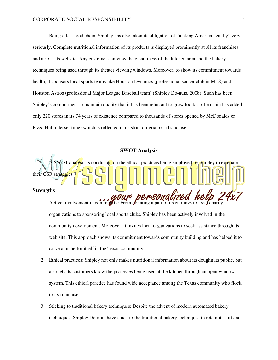Being a fast food chain, Shipley has also taken its obligation of "making America healthy" very seriously. Complete nutritional information of its products is displayed prominently at all its franchises and also at its website. Any customer can view the cleanliness of the kitchen area and the bakery techniques being used through its theater viewing windows. Moreover, to show its commitment towards health, it sponsors local sports teams like Houston Dynamos (professional soccer club in MLS) and Houston Astros (professional Major League Baseball team) (Shipley Do-nuts, 2008). Such has been Shipley's commitment to maintain quality that it has been reluctant to grow too fast (the chain has added only 220 stores in its 74 years of existence compared to thousands of stores opened by McDonalds or Pizza Hut in lesser time) which is reflected in its strict criteria for a franchise.

## **SWOT Analysis**



organizations to sponsoring local sports clubs, Shipley has been actively involved in the community development. Moreover, it invites local organizations to seek assistance through its web site. This approach shows its commitment towards community building and has helped it to carve a niche for itself in the Texas community.

- 2. Ethical practices: Shipley not only makes nutritional information about its doughnuts public, but also lets its customers know the processes being used at the kitchen through an open window system. This ethical practice has found wide acceptance among the Texas community who flock to its franchises.
- 3. Sticking to traditional bakery techniques: Despite the advent of modern automated bakery techniques, Shipley Do-nuts have stuck to the traditional bakery techniques to retain its soft and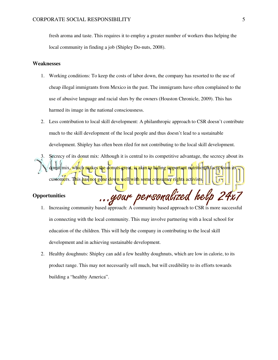fresh aroma and taste. This requires it to employ a greater number of workers thus helping the local community in finding a job (Shipley Do-nuts, 2008).

#### **Weaknesses**

- 1. Working conditions: To keep the costs of labor down, the company has resorted to the use of cheap illegal immigrants from Mexico in the past. The immigrants have often complained to the use of abusive language and racial slurs by the owners (Houston Chronicle, 2009). This has harmed its image in the national consciousness.
- 2. Less contribution to local skill development: A philanthropic approach to CSR doesn't contribute much to the skill development of the local people and thus doesn't lead to a sustainable development. Shipley has often been riled for not contributing to the local skill development.
- Secrecy of its donut mix: Although it is central to its competitive advantage, the secrecy about its donut mix, which makes the donuts great, is akin to hiding important nutritional facts customers. T<mark>h</mark>is has not gone down well with some consumer rights activists

. your personal

## **Opportunities**

- 1. Increasing community based approach: A community based approach to CSR is more successful in connecting with the local community. This may involve partnering with a local school for education of the children. This will help the company in contributing to the local skill development and in achieving sustainable development.
- 2. Healthy doughnuts: Shipley can add a few healthy doughnuts, which are low in calorie, to its product range. This may not necessarily sell much, but will credibility to its efforts towards building a "healthy America".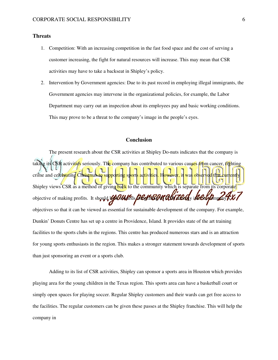## **Threats**

- 1. Competition: With an increasing competition in the fast food space and the cost of serving a customer increasing, the fight for natural resources will increase. This may mean that CSR activities may have to take a backseat in Shipley's policy.
- 2. Intervention by Government agencies: Due to its past record in employing illegal immigrants, the Government agencies may intervene in the organizational policies, for example, the Labor Department may carry out an inspection about its employees pay and basic working conditions. This may prove to be a threat to the company's image in the people's eyes.

# **Conclusion**

 The present research about the CSR activities at Shipley Do-nuts indicates that the company is taking its CSR activities seriously. The company has contributed to various causes from cancer, fighting crime and celebrating Christmas to supporting sports activities. However, it was obser Shipley views CSR as a method of giving back to the community which is separate from its objective of making profits. It should look to the Bell COM and zed ville them objectives so that it can be viewed as essential for sustainable development of the company. For example, Dunkin' Donuts Centre has set up a centre in Providence, Island. It provides state of the art training facilities to the sports clubs in the regions. This centre has produced numerous stars and is an attraction for young sports enthusiasts in the region. This makes a stronger statement towards development of sports than just sponsoring an event or a sports club.

 Adding to its list of CSR activities, Shipley can sponsor a sports area in Houston which provides playing area for the young children in the Texas region. This sports area can have a basketball court or simply open spaces for playing soccer. Regular Shipley customers and their wards can get free access to the facilities. The regular customers can be given these passes at the Shipley franchise. This will help the company in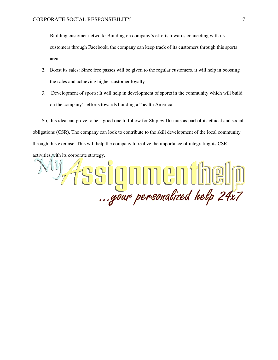- 1. Building customer network: Building on company's efforts towards connecting with its customers through Facebook, the company can keep track of its customers through this sports area
- 2. Boost its sales: Since free passes will be given to the regular customers, it will help in boosting the sales and achieving higher customer loyalty
- 3. Development of sports: It will help in development of sports in the community which will build on the company's efforts towards building a "health America".

So, this idea can prove to be a good one to follow for Shipley Do-nuts as part of its ethical and social obligations (CSR). The company can look to contribute to the skill development of the local community through this exercise. This will help the company to realize the importance of integrating its CSR activities with its corporate strategy.